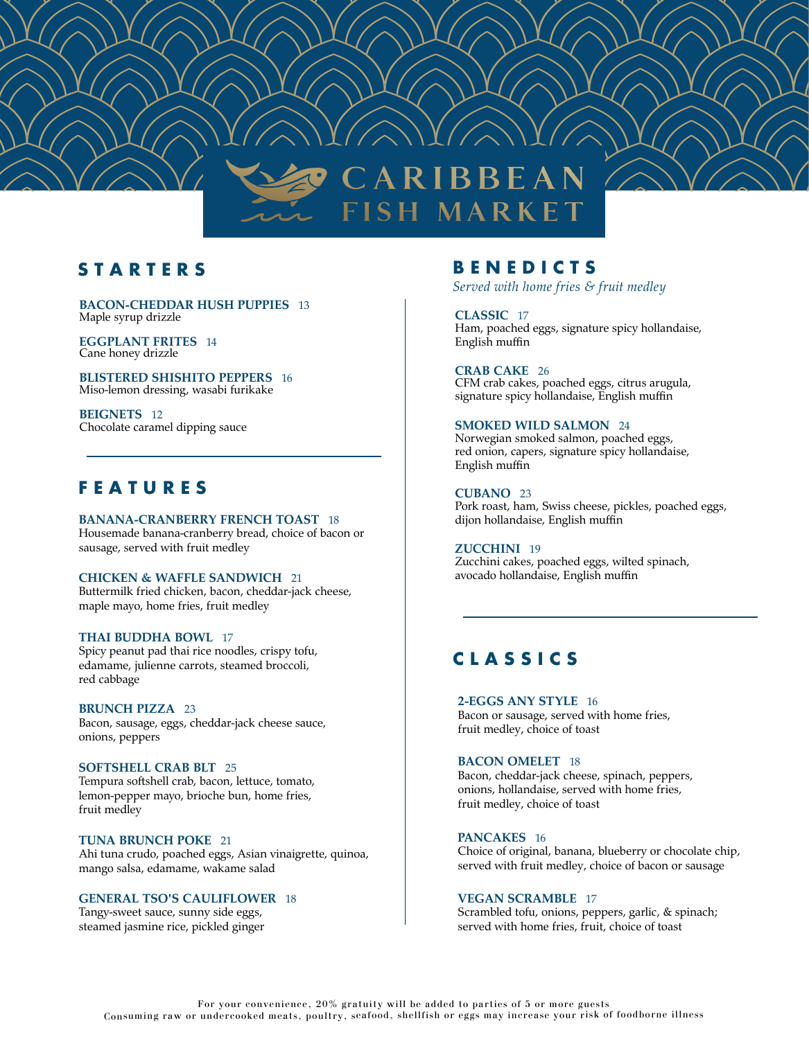

### **S T A R T E R S**

**BACON-CHEDDAR HUSH PUPPIES** 13 Maple syrup drizzle

**EGGPLANT FRITES** 14 Cane honey drizzle

**BLISTERED SHISHITO PEPPERS** 16 Miso-lemon dressing, wasabi furikake

**BEIGNETS** 12 Chocolate caramel dipping sauce

### **F E A T U R E S**

**BANANA-CRANBERRY FRENCH TOAST** 18

Housemade banana-cranberry bread, choice of bacon or sausage, served with fruit medley

#### **CHICKEN & WAFFLE SANDWICH** 21

Buttermilk fried chicken, bacon, cheddar-jack cheese, maple mayo, home fries, fruit medley

#### **THAI BUDDHA BOWL** 17

Spicy peanut pad thai rice noodles, crispy tofu, edamame, julienne carrots, steamed broccoli, red cabbage

#### **BRUNCH PIZZA** 23

Bacon, sausage, eggs, cheddar-jack cheese sauce, onions, peppers

#### **SOFTSHELL CRAB BLT** 25

Tempura softshell crab, bacon, lettuce, tomato, lemon-pepper mayo, brioche bun, home fries, fruit medley

#### **TUNA BRUNCH POKE** 21

Ahi tuna crudo, poached eggs, Asian vinaigrette, quinoa, mango salsa, edamame, wakame salad

#### **GENERAL TSO'S CAULIFLOWER** 18

Tangy-sweet sauce, sunny side eggs, steamed jasmine rice, pickled ginger

### **B E N E D I C T S**

*Served with home fries & fruit medley*

**CLASSIC** 17 Ham, poached eggs, signature spicy hollandaise, English muffin

### **CRAB CAKE** 26

CFM crab cakes, poached eggs, citrus arugula, signature spicy hollandaise, English muffin

#### **SMOKED WILD SALMON** 24

Norwegian smoked salmon, poached eggs, red onion, capers, signature spicy hollandaise, English muffin

#### **CUBANO** 23

Pork roast, ham, Swiss cheese, pickles, poached eggs, dijon hollandaise, English muffin

#### **ZUCCHINI** 19

Zucchini cakes, poached eggs, wilted spinach, avocado hollandaise, English muffin

## **C L A S S I C S**

**2-EGGS ANY STYLE** 16 Bacon or sausage, served with home fries, fruit medley, choice of toast

#### **BACON OMELET** 18

Bacon, cheddar-jack cheese, spinach, peppers, onions, hollandaise, served with home fries, fruit medley, choice of toast

#### **PANCAKES** 16

Choice of original, banana, blueberry or chocolate chip, served with fruit medley, choice of bacon or sausage

#### **VEGAN SCRAMBLE** 17

Scrambled tofu, onions, peppers, garlic, & spinach; served with home fries, fruit, choice of toast